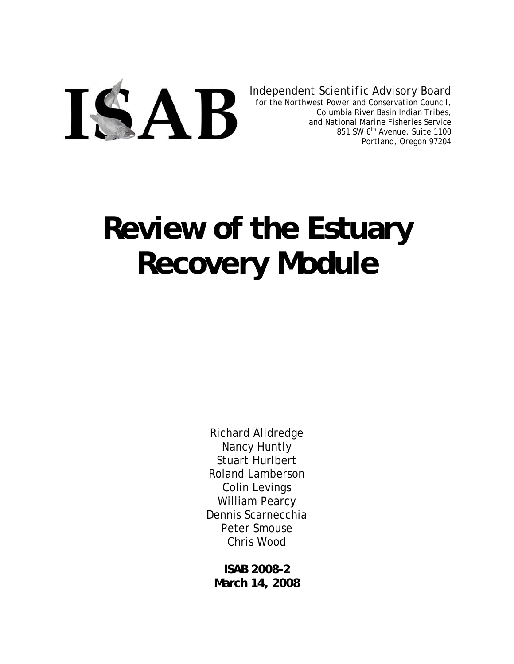

*Independent Scientific Advisory Board*

*for the Northwest Power and Conservation Council, Columbia River Basin Indian Tribes, and National Marine Fisheries Service 851 SW 6th Avenue, Suite 1100 Portland, Oregon 97204*

# **Review of the Estuary Recovery Module**

Richard Alldredge Nancy Huntly Stuart Hurlbert Roland Lamberson Colin Levings William Pearcy Dennis Scarnecchia Peter Smouse Chris Wood

**ISAB 2008-2 March 14, 2008**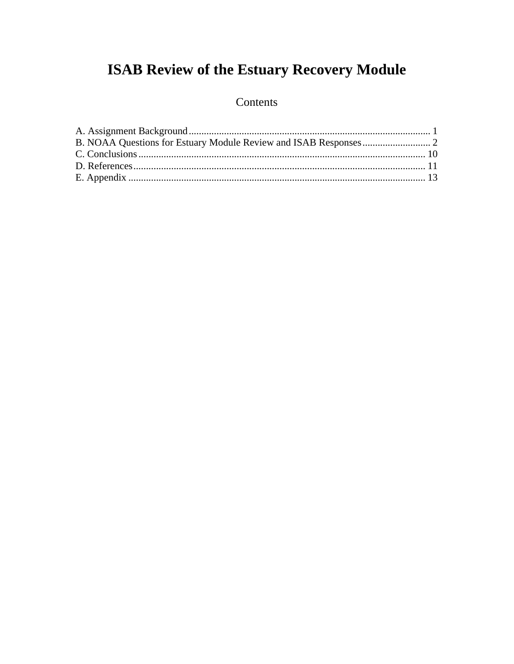# **ISAB Review of the Estuary Recovery Module**

### Contents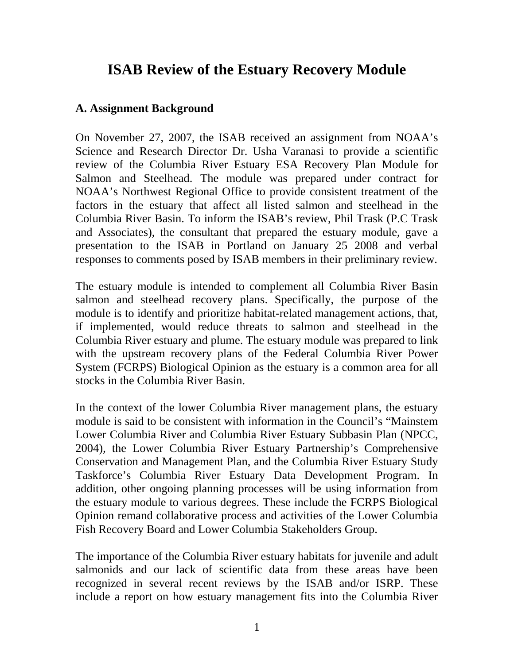## **ISAB Review of the Estuary Recovery Module**

#### **A. Assignment Background**

On November 27, 2007, the ISAB received an assignment from NOAA's Science and Research Director Dr. Usha Varanasi to provide a scientific review of the Columbia River Estuary ESA Recovery Plan Module for Salmon and Steelhead. The module was prepared under contract for NOAA's Northwest Regional Office to provide consistent treatment of the factors in the estuary that affect all listed salmon and steelhead in the Columbia River Basin. To inform the ISAB's review, Phil Trask (P.C Trask and Associates), the consultant that prepared the estuary module, gave a presentation to the ISAB in Portland on January 25 2008 and verbal responses to comments posed by ISAB members in their preliminary review.

The estuary module is intended to complement all Columbia River Basin salmon and steelhead recovery plans. Specifically, the purpose of the module is to identify and prioritize habitat-related management actions, that, if implemented, would reduce threats to salmon and steelhead in the Columbia River estuary and plume. The estuary module was prepared to link with the upstream recovery plans of the Federal Columbia River Power System (FCRPS) Biological Opinion as the estuary is a common area for all stocks in the Columbia River Basin.

In the context of the lower Columbia River management plans, the estuary module is said to be consistent with information in the Council's "Mainstem Lower Columbia River and Columbia River Estuary Subbasin Plan (NPCC, 2004), the Lower Columbia River Estuary Partnership's Comprehensive Conservation and Management Plan, and the Columbia River Estuary Study Taskforce's Columbia River Estuary Data Development Program. In addition, other ongoing planning processes will be using information from the estuary module to various degrees. These include the FCRPS Biological Opinion remand collaborative process and activities of the Lower Columbia Fish Recovery Board and Lower Columbia Stakeholders Group.

The importance of the Columbia River estuary habitats for juvenile and adult salmonids and our lack of scientific data from these areas have been recognized in several recent reviews by the ISAB and/or ISRP. These include a report on how estuary management fits into the Columbia River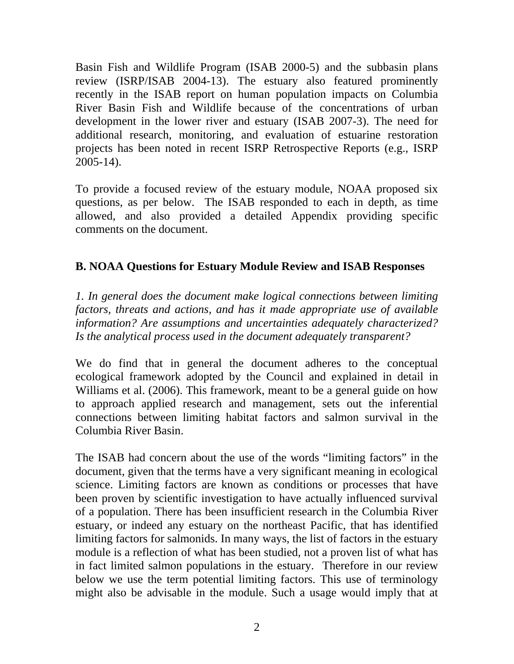Basin Fish and Wildlife Program (ISAB 2000-5) and the subbasin plans review (ISRP/ISAB 2004-13). The estuary also featured prominently recently in the ISAB report on human population impacts on Columbia River Basin Fish and Wildlife because of the concentrations of urban development in the lower river and estuary (ISAB 2007-3). The need for additional research, monitoring, and evaluation of estuarine restoration projects has been noted in recent ISRP Retrospective Reports (e.g., ISRP 2005-14).

To provide a focused review of the estuary module, NOAA proposed six questions, as per below. The ISAB responded to each in depth, as time allowed, and also provided a detailed Appendix providing specific comments on the document.

#### **B. NOAA Questions for Estuary Module Review and ISAB Responses**

*1. In general does the document make logical connections between limiting factors, threats and actions, and has it made appropriate use of available information? Are assumptions and uncertainties adequately characterized? Is the analytical process used in the document adequately transparent?* 

We do find that in general the document adheres to the conceptual ecological framework adopted by the Council and explained in detail in Williams et al. (2006). This framework, meant to be a general guide on how to approach applied research and management, sets out the inferential connections between limiting habitat factors and salmon survival in the Columbia River Basin.

The ISAB had concern about the use of the words "limiting factors" in the document, given that the terms have a very significant meaning in ecological science. Limiting factors are known as conditions or processes that have been proven by scientific investigation to have actually influenced survival of a population. There has been insufficient research in the Columbia River estuary, or indeed any estuary on the northeast Pacific, that has identified limiting factors for salmonids. In many ways, the list of factors in the estuary module is a reflection of what has been studied, not a proven list of what has in fact limited salmon populations in the estuary. Therefore in our review below we use the term potential limiting factors. This use of terminology might also be advisable in the module. Such a usage would imply that at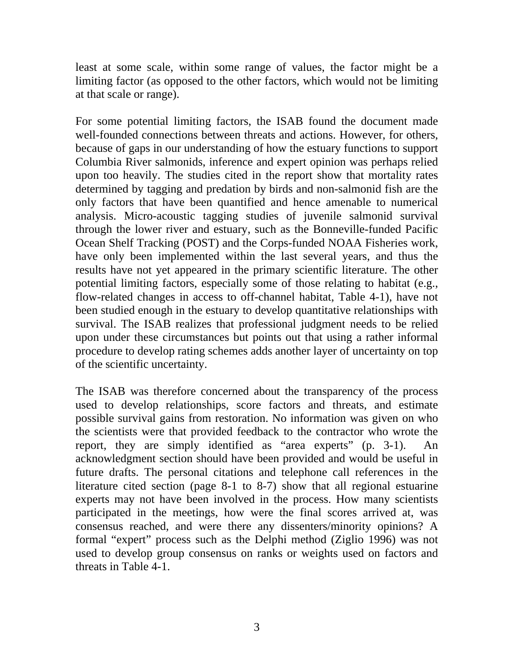least at some scale, within some range of values, the factor might be a limiting factor (as opposed to the other factors, which would not be limiting at that scale or range).

For some potential limiting factors, the ISAB found the document made well-founded connections between threats and actions. However, for others, because of gaps in our understanding of how the estuary functions to support Columbia River salmonids, inference and expert opinion was perhaps relied upon too heavily. The studies cited in the report show that mortality rates determined by tagging and predation by birds and non-salmonid fish are the only factors that have been quantified and hence amenable to numerical analysis. Micro-acoustic tagging studies of juvenile salmonid survival through the lower river and estuary, such as the Bonneville-funded Pacific Ocean Shelf Tracking (POST) and the Corps-funded NOAA Fisheries work, have only been implemented within the last several years, and thus the results have not yet appeared in the primary scientific literature. The other potential limiting factors, especially some of those relating to habitat (e.g., flow-related changes in access to off-channel habitat, Table 4-1), have not been studied enough in the estuary to develop quantitative relationships with survival. The ISAB realizes that professional judgment needs to be relied upon under these circumstances but points out that using a rather informal procedure to develop rating schemes adds another layer of uncertainty on top of the scientific uncertainty.

The ISAB was therefore concerned about the transparency of the process used to develop relationships, score factors and threats, and estimate possible survival gains from restoration. No information was given on who the scientists were that provided feedback to the contractor who wrote the report, they are simply identified as "area experts" (p. 3-1). An acknowledgment section should have been provided and would be useful in future drafts. The personal citations and telephone call references in the literature cited section (page 8-1 to 8-7) show that all regional estuarine experts may not have been involved in the process. How many scientists participated in the meetings, how were the final scores arrived at, was consensus reached, and were there any dissenters/minority opinions? A formal "expert" process such as the Delphi method (Ziglio 1996) was not used to develop group consensus on ranks or weights used on factors and threats in Table 4-1.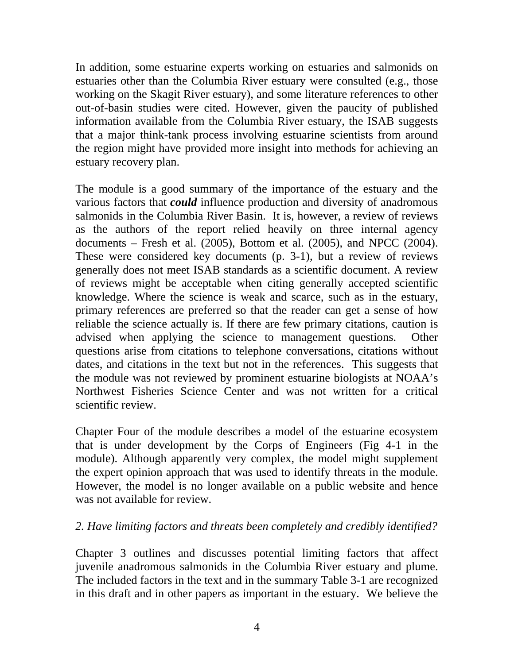In addition, some estuarine experts working on estuaries and salmonids on estuaries other than the Columbia River estuary were consulted (e.g., those working on the Skagit River estuary), and some literature references to other out-of-basin studies were cited. However, given the paucity of published information available from the Columbia River estuary, the ISAB suggests that a major think-tank process involving estuarine scientists from around the region might have provided more insight into methods for achieving an estuary recovery plan.

The module is a good summary of the importance of the estuary and the various factors that *could* influence production and diversity of anadromous salmonids in the Columbia River Basin. It is, however, a review of reviews as the authors of the report relied heavily on three internal agency documents – Fresh et al. (2005), Bottom et al. (2005), and NPCC (2004). These were considered key documents (p. 3-1), but a review of reviews generally does not meet ISAB standards as a scientific document. A review of reviews might be acceptable when citing generally accepted scientific knowledge. Where the science is weak and scarce, such as in the estuary, primary references are preferred so that the reader can get a sense of how reliable the science actually is. If there are few primary citations, caution is advised when applying the science to management questions. Other questions arise from citations to telephone conversations, citations without dates, and citations in the text but not in the references. This suggests that the module was not reviewed by prominent estuarine biologists at NOAA's Northwest Fisheries Science Center and was not written for a critical scientific review.

Chapter Four of the module describes a model of the estuarine ecosystem that is under development by the Corps of Engineers (Fig 4-1 in the module). Although apparently very complex, the model might supplement the expert opinion approach that was used to identify threats in the module. However, the model is no longer available on a public website and hence was not available for review.

#### *2. Have limiting factors and threats been completely and credibly identified?*

Chapter 3 outlines and discusses potential limiting factors that affect juvenile anadromous salmonids in the Columbia River estuary and plume. The included factors in the text and in the summary Table 3-1 are recognized in this draft and in other papers as important in the estuary. We believe the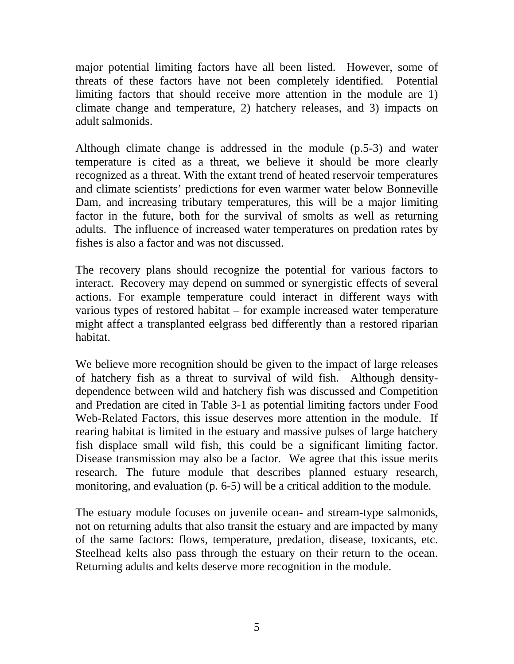major potential limiting factors have all been listed. However, some of threats of these factors have not been completely identified. Potential limiting factors that should receive more attention in the module are 1) climate change and temperature, 2) hatchery releases, and 3) impacts on adult salmonids.

Although climate change is addressed in the module (p.5-3) and water temperature is cited as a threat, we believe it should be more clearly recognized as a threat. With the extant trend of heated reservoir temperatures and climate scientists' predictions for even warmer water below Bonneville Dam, and increasing tributary temperatures, this will be a major limiting factor in the future, both for the survival of smolts as well as returning adults. The influence of increased water temperatures on predation rates by fishes is also a factor and was not discussed.

The recovery plans should recognize the potential for various factors to interact. Recovery may depend on summed or synergistic effects of several actions. For example temperature could interact in different ways with various types of restored habitat – for example increased water temperature might affect a transplanted eelgrass bed differently than a restored riparian habitat.

We believe more recognition should be given to the impact of large releases of hatchery fish as a threat to survival of wild fish. Although densitydependence between wild and hatchery fish was discussed and Competition and Predation are cited in Table 3-1 as potential limiting factors under Food Web-Related Factors, this issue deserves more attention in the module. If rearing habitat is limited in the estuary and massive pulses of large hatchery fish displace small wild fish, this could be a significant limiting factor. Disease transmission may also be a factor. We agree that this issue merits research. The future module that describes planned estuary research, monitoring, and evaluation (p. 6-5) will be a critical addition to the module.

The estuary module focuses on juvenile ocean- and stream-type salmonids, not on returning adults that also transit the estuary and are impacted by many of the same factors: flows, temperature, predation, disease, toxicants, etc. Steelhead kelts also pass through the estuary on their return to the ocean. Returning adults and kelts deserve more recognition in the module.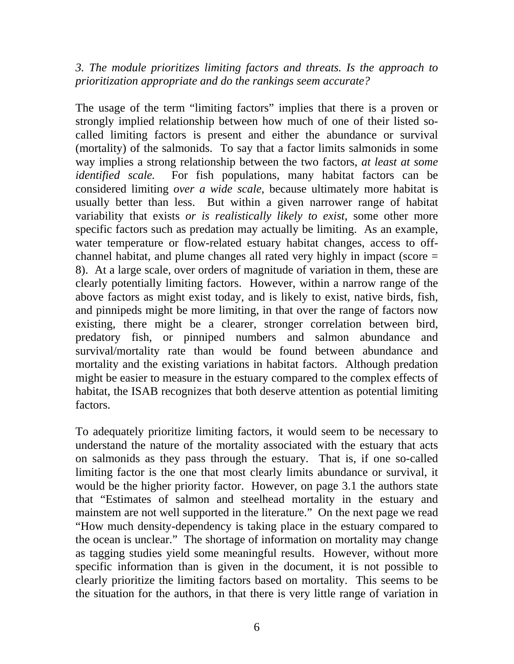*3. The module prioritizes limiting factors and threats. Is the approach to prioritization appropriate and do the rankings seem accurate?* 

The usage of the term "limiting factors" implies that there is a proven or strongly implied relationship between how much of one of their listed socalled limiting factors is present and either the abundance or survival (mortality) of the salmonids. To say that a factor limits salmonids in some way implies a strong relationship between the two factors, *at least at some identified scale.* For fish populations, many habitat factors can be considered limiting *over a wide scale*, because ultimately more habitat is usually better than less. But within a given narrower range of habitat variability that exists *or is realistically likely to exist*, some other more specific factors such as predation may actually be limiting. As an example, water temperature or flow-related estuary habitat changes, access to offchannel habitat, and plume changes all rated very highly in impact (score = 8). At a large scale, over orders of magnitude of variation in them, these are clearly potentially limiting factors. However, within a narrow range of the above factors as might exist today, and is likely to exist, native birds, fish, and pinnipeds might be more limiting, in that over the range of factors now existing, there might be a clearer, stronger correlation between bird, predatory fish, or pinniped numbers and salmon abundance and survival/mortality rate than would be found between abundance and mortality and the existing variations in habitat factors. Although predation might be easier to measure in the estuary compared to the complex effects of habitat, the ISAB recognizes that both deserve attention as potential limiting factors.

To adequately prioritize limiting factors, it would seem to be necessary to understand the nature of the mortality associated with the estuary that acts on salmonids as they pass through the estuary. That is, if one so-called limiting factor is the one that most clearly limits abundance or survival, it would be the higher priority factor. However, on page 3.1 the authors state that "Estimates of salmon and steelhead mortality in the estuary and mainstem are not well supported in the literature." On the next page we read "How much density-dependency is taking place in the estuary compared to the ocean is unclear." The shortage of information on mortality may change as tagging studies yield some meaningful results. However, without more specific information than is given in the document, it is not possible to clearly prioritize the limiting factors based on mortality. This seems to be the situation for the authors, in that there is very little range of variation in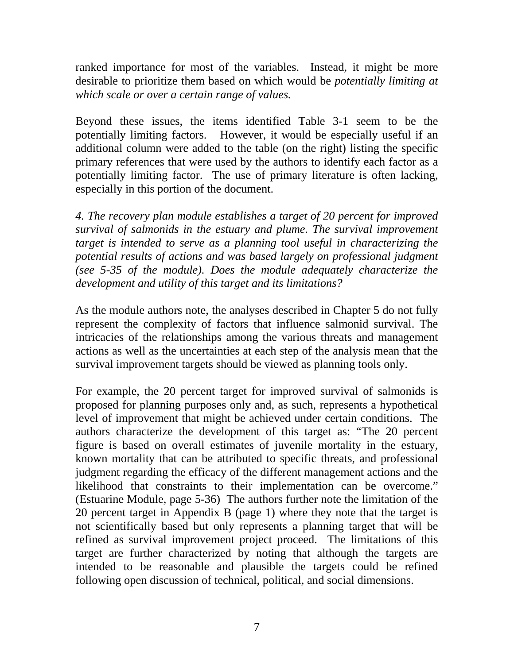ranked importance for most of the variables. Instead, it might be more desirable to prioritize them based on which would be *potentially limiting at which scale or over a certain range of values.* 

Beyond these issues, the items identified Table 3-1 seem to be the potentially limiting factors. However, it would be especially useful if an additional column were added to the table (on the right) listing the specific primary references that were used by the authors to identify each factor as a potentially limiting factor. The use of primary literature is often lacking, especially in this portion of the document.

*4. The recovery plan module establishes a target of 20 percent for improved survival of salmonids in the estuary and plume. The survival improvement target is intended to serve as a planning tool useful in characterizing the potential results of actions and was based largely on professional judgment (see 5-35 of the module). Does the module adequately characterize the development and utility of this target and its limitations?* 

As the module authors note, the analyses described in Chapter 5 do not fully represent the complexity of factors that influence salmonid survival. The intricacies of the relationships among the various threats and management actions as well as the uncertainties at each step of the analysis mean that the survival improvement targets should be viewed as planning tools only.

For example, the 20 percent target for improved survival of salmonids is proposed for planning purposes only and, as such, represents a hypothetical level of improvement that might be achieved under certain conditions. The authors characterize the development of this target as: "The 20 percent figure is based on overall estimates of juvenile mortality in the estuary, known mortality that can be attributed to specific threats, and professional judgment regarding the efficacy of the different management actions and the likelihood that constraints to their implementation can be overcome." (Estuarine Module, page 5-36) The authors further note the limitation of the 20 percent target in Appendix B (page 1) where they note that the target is not scientifically based but only represents a planning target that will be refined as survival improvement project proceed. The limitations of this target are further characterized by noting that although the targets are intended to be reasonable and plausible the targets could be refined following open discussion of technical, political, and social dimensions.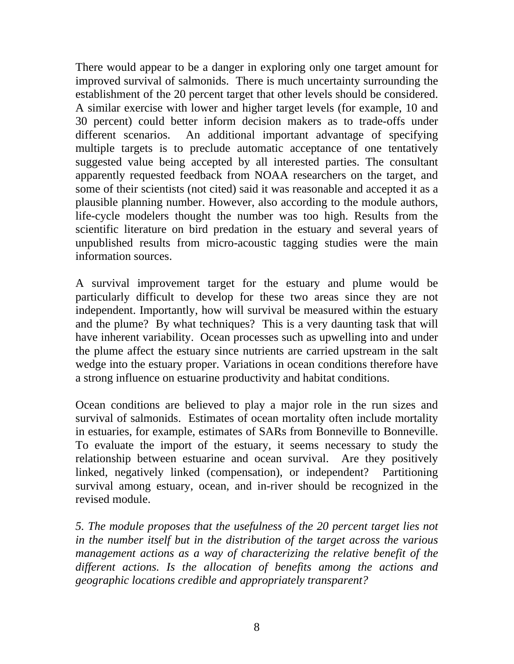There would appear to be a danger in exploring only one target amount for improved survival of salmonids. There is much uncertainty surrounding the establishment of the 20 percent target that other levels should be considered. A similar exercise with lower and higher target levels (for example, 10 and 30 percent) could better inform decision makers as to trade-offs under different scenarios. An additional important advantage of specifying multiple targets is to preclude automatic acceptance of one tentatively suggested value being accepted by all interested parties. The consultant apparently requested feedback from NOAA researchers on the target, and some of their scientists (not cited) said it was reasonable and accepted it as a plausible planning number. However, also according to the module authors, life-cycle modelers thought the number was too high. Results from the scientific literature on bird predation in the estuary and several years of unpublished results from micro-acoustic tagging studies were the main information sources.

A survival improvement target for the estuary and plume would be particularly difficult to develop for these two areas since they are not independent. Importantly, how will survival be measured within the estuary and the plume? By what techniques? This is a very daunting task that will have inherent variability. Ocean processes such as upwelling into and under the plume affect the estuary since nutrients are carried upstream in the salt wedge into the estuary proper. Variations in ocean conditions therefore have a strong influence on estuarine productivity and habitat conditions.

Ocean conditions are believed to play a major role in the run sizes and survival of salmonids. Estimates of ocean mortality often include mortality in estuaries, for example, estimates of SARs from Bonneville to Bonneville. To evaluate the import of the estuary, it seems necessary to study the relationship between estuarine and ocean survival. Are they positively linked, negatively linked (compensation), or independent? Partitioning survival among estuary, ocean, and in-river should be recognized in the revised module.

*5. The module proposes that the usefulness of the 20 percent target lies not in the number itself but in the distribution of the target across the various management actions as a way of characterizing the relative benefit of the different actions. Is the allocation of benefits among the actions and geographic locations credible and appropriately transparent?*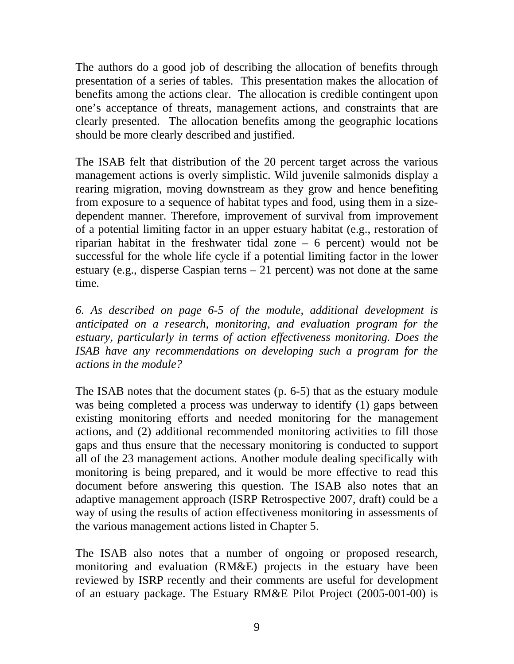The authors do a good job of describing the allocation of benefits through presentation of a series of tables. This presentation makes the allocation of benefits among the actions clear. The allocation is credible contingent upon one's acceptance of threats, management actions, and constraints that are clearly presented. The allocation benefits among the geographic locations should be more clearly described and justified.

The ISAB felt that distribution of the 20 percent target across the various management actions is overly simplistic. Wild juvenile salmonids display a rearing migration, moving downstream as they grow and hence benefiting from exposure to a sequence of habitat types and food, using them in a sizedependent manner. Therefore, improvement of survival from improvement of a potential limiting factor in an upper estuary habitat (e.g., restoration of riparian habitat in the freshwater tidal zone – 6 percent) would not be successful for the whole life cycle if a potential limiting factor in the lower estuary (e.g., disperse Caspian terns – 21 percent) was not done at the same time.

*6. As described on page 6-5 of the module, additional development is anticipated on a research, monitoring, and evaluation program for the estuary, particularly in terms of action effectiveness monitoring. Does the ISAB have any recommendations on developing such a program for the actions in the module?* 

The ISAB notes that the document states (p. 6-5) that as the estuary module was being completed a process was underway to identify (1) gaps between existing monitoring efforts and needed monitoring for the management actions, and (2) additional recommended monitoring activities to fill those gaps and thus ensure that the necessary monitoring is conducted to support all of the 23 management actions. Another module dealing specifically with monitoring is being prepared, and it would be more effective to read this document before answering this question. The ISAB also notes that an adaptive management approach (ISRP Retrospective 2007, draft) could be a way of using the results of action effectiveness monitoring in assessments of the various management actions listed in Chapter 5.

The ISAB also notes that a number of ongoing or proposed research, monitoring and evaluation (RM&E) projects in the estuary have been reviewed by ISRP recently and their comments are useful for development of an estuary package. The Estuary RM&E Pilot Project (2005-001-00) is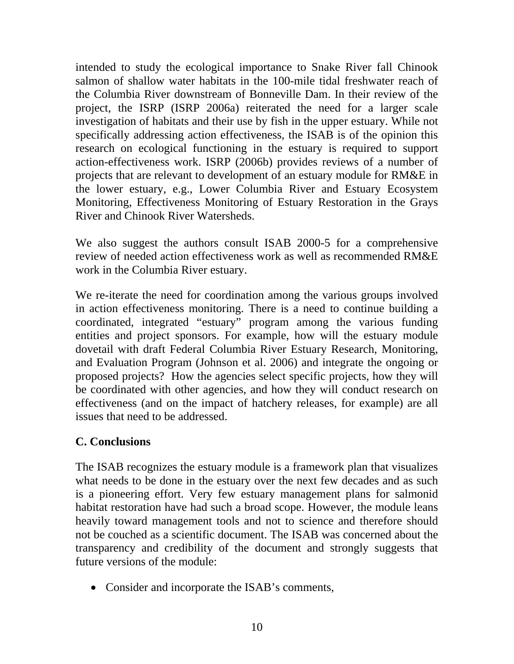intended to study the ecological importance to Snake River fall Chinook salmon of shallow water habitats in the 100-mile tidal freshwater reach of the Columbia River downstream of Bonneville Dam. In their review of the project, the ISRP (ISRP 2006a) reiterated the need for a larger scale investigation of habitats and their use by fish in the upper estuary. While not specifically addressing action effectiveness, the ISAB is of the opinion this research on ecological functioning in the estuary is required to support action-effectiveness work. ISRP (2006b) provides reviews of a number of projects that are relevant to development of an estuary module for RM&E in the lower estuary, e.g., Lower Columbia River and Estuary Ecosystem Monitoring, Effectiveness Monitoring of Estuary Restoration in the Grays River and Chinook River Watersheds.

We also suggest the authors consult ISAB 2000-5 for a comprehensive review of needed action effectiveness work as well as recommended RM&E work in the Columbia River estuary.

We re-iterate the need for coordination among the various groups involved in action effectiveness monitoring. There is a need to continue building a coordinated, integrated "estuary" program among the various funding entities and project sponsors. For example, how will the estuary module dovetail with draft Federal Columbia River Estuary Research, Monitoring, and Evaluation Program (Johnson et al. 2006) and integrate the ongoing or proposed projects? How the agencies select specific projects, how they will be coordinated with other agencies, and how they will conduct research on effectiveness (and on the impact of hatchery releases, for example) are all issues that need to be addressed.

#### **C. Conclusions**

The ISAB recognizes the estuary module is a framework plan that visualizes what needs to be done in the estuary over the next few decades and as such is a pioneering effort. Very few estuary management plans for salmonid habitat restoration have had such a broad scope. However, the module leans heavily toward management tools and not to science and therefore should not be couched as a scientific document. The ISAB was concerned about the transparency and credibility of the document and strongly suggests that future versions of the module:

• Consider and incorporate the ISAB's comments,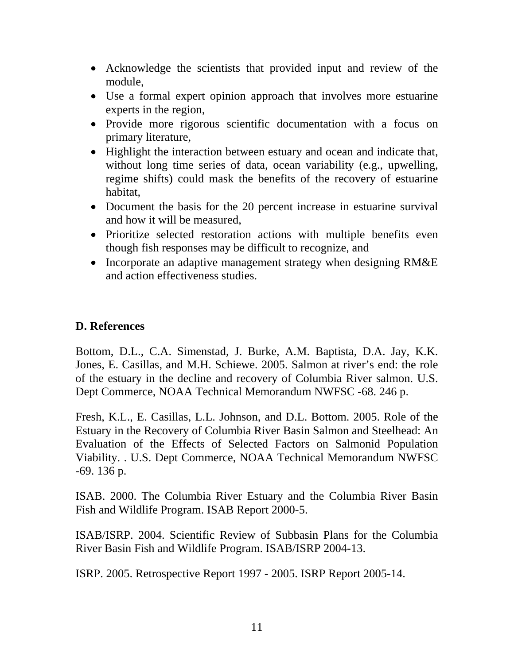- Acknowledge the scientists that provided input and review of the module,
- Use a formal expert opinion approach that involves more estuarine experts in the region,
- Provide more rigorous scientific documentation with a focus on primary literature,
- Highlight the interaction between estuary and ocean and indicate that, without long time series of data, ocean variability (e.g., upwelling, regime shifts) could mask the benefits of the recovery of estuarine habitat,
- Document the basis for the 20 percent increase in estuarine survival and how it will be measured,
- Prioritize selected restoration actions with multiple benefits even though fish responses may be difficult to recognize, and
- Incorporate an adaptive management strategy when designing RM&E and action effectiveness studies.

#### **D. References**

Bottom, D.L., C.A. Simenstad, J. Burke, A.M. Baptista, D.A. Jay, K.K. Jones, E. Casillas, and M.H. Schiewe. 2005. Salmon at river's end: the role of the estuary in the decline and recovery of Columbia River salmon. U.S. Dept Commerce, NOAA Technical Memorandum NWFSC -68. 246 p.

Fresh, K.L., E. Casillas, L.L. Johnson, and D.L. Bottom. 2005. Role of the Estuary in the Recovery of Columbia River Basin Salmon and Steelhead: An Evaluation of the Effects of Selected Factors on Salmonid Population Viability. . U.S. Dept Commerce, NOAA Technical Memorandum NWFSC -69. 136 p.

ISAB. 2000. The Columbia River Estuary and the Columbia River Basin Fish and Wildlife Program. ISAB Report 2000-5.

ISAB/ISRP. 2004. Scientific Review of Subbasin Plans for the Columbia River Basin Fish and Wildlife Program. ISAB/ISRP 2004-13.

ISRP. 2005. Retrospective Report 1997 - 2005. ISRP Report 2005-14.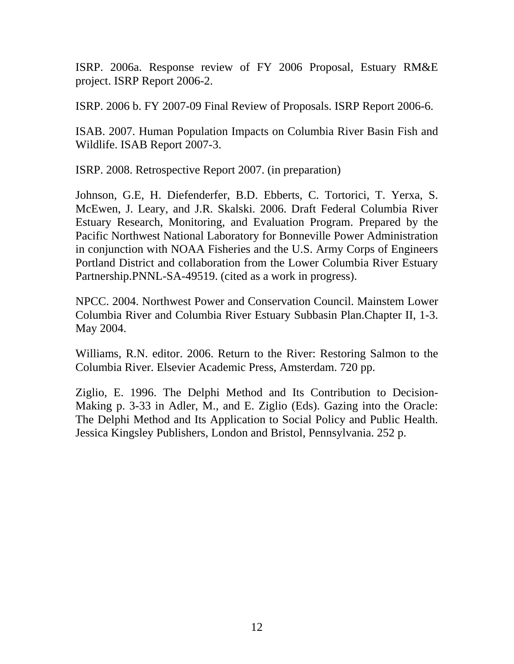ISRP. 2006a. Response review of FY 2006 Proposal, Estuary RM&E project. ISRP Report 2006-2.

ISRP. 2006 b. FY 2007-09 Final Review of Proposals. ISRP Report 2006-6.

ISAB. 2007. Human Population Impacts on Columbia River Basin Fish and Wildlife. ISAB Report 2007-3.

ISRP. 2008. Retrospective Report 2007. (in preparation)

Johnson, G.E, H. Diefenderfer, B.D. Ebberts, C. Tortorici, T. Yerxa, S. McEwen, J. Leary, and J.R. Skalski. 2006. Draft Federal Columbia River Estuary Research, Monitoring, and Evaluation Program. Prepared by the Pacific Northwest National Laboratory for Bonneville Power Administration in conjunction with NOAA Fisheries and the U.S. Army Corps of Engineers Portland District and collaboration from the Lower Columbia River Estuary Partnership.PNNL-SA-49519. (cited as a work in progress).

NPCC. 2004. Northwest Power and Conservation Council. Mainstem Lower Columbia River and Columbia River Estuary Subbasin Plan.Chapter II, 1-3. May 2004.

Williams, R.N. editor. 2006. Return to the River: Restoring Salmon to the Columbia River. Elsevier Academic Press, Amsterdam. 720 pp.

Ziglio, E. 1996. The Delphi Method and Its Contribution to Decision-Making p. 3-33 in Adler, M., and E. Ziglio (Eds). Gazing into the Oracle: The Delphi Method and Its Application to Social Policy and Public Health. Jessica Kingsley Publishers, London and Bristol, Pennsylvania. 252 p.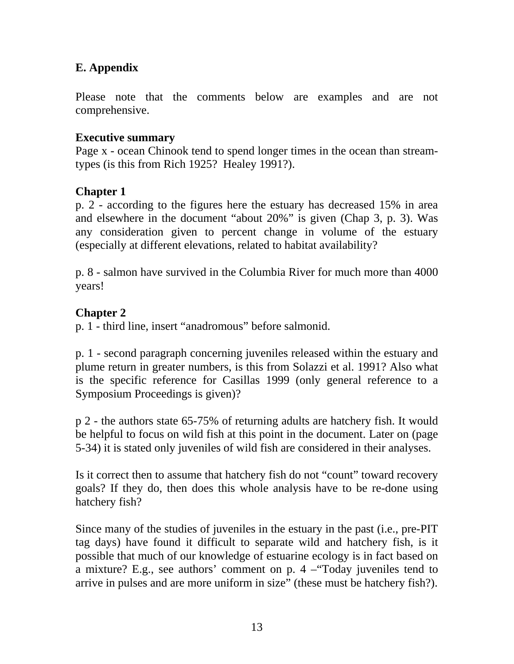#### **E. Appendix**

Please note that the comments below are examples and are not comprehensive.

#### **Executive summary**

Page x - ocean Chinook tend to spend longer times in the ocean than streamtypes (is this from Rich 1925? Healey 1991?).

#### **Chapter 1**

p. 2 - according to the figures here the estuary has decreased 15% in area and elsewhere in the document "about 20%" is given (Chap 3, p. 3). Was any consideration given to percent change in volume of the estuary (especially at different elevations, related to habitat availability?

p. 8 - salmon have survived in the Columbia River for much more than 4000 years!

#### **Chapter 2**

p. 1 - third line, insert "anadromous" before salmonid.

p. 1 - second paragraph concerning juveniles released within the estuary and plume return in greater numbers, is this from Solazzi et al. 1991? Also what is the specific reference for Casillas 1999 (only general reference to a Symposium Proceedings is given)?

p 2 - the authors state 65-75% of returning adults are hatchery fish. It would be helpful to focus on wild fish at this point in the document. Later on (page 5-34) it is stated only juveniles of wild fish are considered in their analyses.

Is it correct then to assume that hatchery fish do not "count" toward recovery goals? If they do, then does this whole analysis have to be re-done using hatchery fish?

Since many of the studies of juveniles in the estuary in the past (i.e., pre-PIT tag days) have found it difficult to separate wild and hatchery fish, is it possible that much of our knowledge of estuarine ecology is in fact based on a mixture? E.g., see authors' comment on p. 4 –"Today juveniles tend to arrive in pulses and are more uniform in size" (these must be hatchery fish?).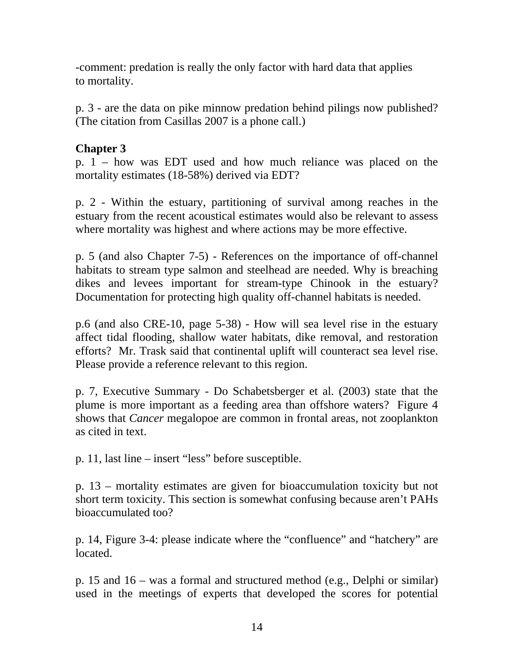-comment: predation is really the only factor with hard data that applies to mortality.

p. 3 - are the data on pike minnow predation behind pilings now published? (The citation from Casillas 2007 is a phone call.)

#### **Chapter 3**

p. 1 – how was EDT used and how much reliance was placed on the mortality estimates (18-58%) derived via EDT?

p. 2 - Within the estuary, partitioning of survival among reaches in the estuary from the recent acoustical estimates would also be relevant to assess where mortality was highest and where actions may be more effective.

p. 5 (and also Chapter 7-5) - References on the importance of off-channel habitats to stream type salmon and steelhead are needed. Why is breaching dikes and levees important for stream-type Chinook in the estuary? Documentation for protecting high quality off-channel habitats is needed.

p.6 (and also CRE-10, page 5-38) - How will sea level rise in the estuary affect tidal flooding, shallow water habitats, dike removal, and restoration efforts? Mr. Trask said that continental uplift will counteract sea level rise. Please provide a reference relevant to this region.

p. 7, Executive Summary - Do Schabetsberger et al. (2003) state that the plume is more important as a feeding area than offshore waters? Figure 4 shows that *Cancer* megalopoe are common in frontal areas, not zooplankton as cited in text.

p. 11, last line – insert "less" before susceptible.

p. 13 – mortality estimates are given for bioaccumulation toxicity but not short term toxicity. This section is somewhat confusing because aren't PAHs bioaccumulated too?

p. 14, Figure 3-4: please indicate where the "confluence" and "hatchery" are located.

p. 15 and 16 – was a formal and structured method (e.g., Delphi or similar) used in the meetings of experts that developed the scores for potential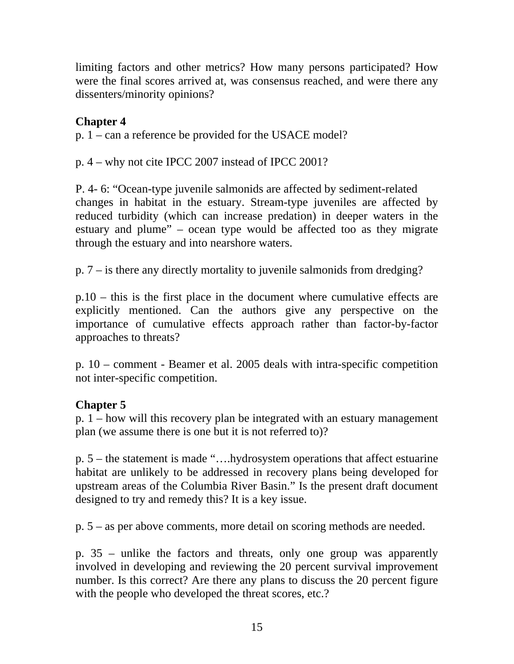limiting factors and other metrics? How many persons participated? How were the final scores arrived at, was consensus reached, and were there any dissenters/minority opinions?

#### **Chapter 4**

p. 1 – can a reference be provided for the USACE model?

p. 4 – why not cite IPCC 2007 instead of IPCC 2001?

P. 4- 6: "Ocean-type juvenile salmonids are affected by sediment-related changes in habitat in the estuary. Stream-type juveniles are affected by reduced turbidity (which can increase predation) in deeper waters in the estuary and plume" – ocean type would be affected too as they migrate through the estuary and into nearshore waters.

p. 7 – is there any directly mortality to juvenile salmonids from dredging?

p.10 – this is the first place in the document where cumulative effects are explicitly mentioned. Can the authors give any perspective on the importance of cumulative effects approach rather than factor-by-factor approaches to threats?

p. 10 – comment - Beamer et al. 2005 deals with intra-specific competition not inter-specific competition.

#### **Chapter 5**

p. 1 – how will this recovery plan be integrated with an estuary management plan (we assume there is one but it is not referred to)?

p. 5 – the statement is made "….hydrosystem operations that affect estuarine habitat are unlikely to be addressed in recovery plans being developed for upstream areas of the Columbia River Basin." Is the present draft document designed to try and remedy this? It is a key issue.

p. 5 – as per above comments, more detail on scoring methods are needed.

p. 35 – unlike the factors and threats, only one group was apparently involved in developing and reviewing the 20 percent survival improvement number. Is this correct? Are there any plans to discuss the 20 percent figure with the people who developed the threat scores, etc.?